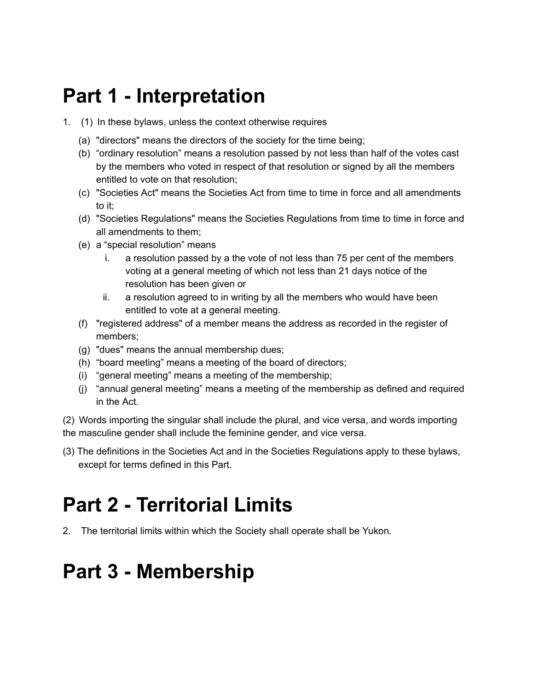### **Part 1 - Interpretation**

- 1. (1) In these bylaws, unless the context otherwise requires
	- (a) "directors" means the directors of the society for the time being;
	- (b) "ordinary resolution" means a resolution passed by not less than half of the votes cast by the members who voted in respect of that resolution or signed by all the members entitled to vote on that resolution;
	- (c) "Societies Act" means the Societies Act from time to time in force and all amendments to it;
	- (d) "Societies Regulations" means the Societies Regulations from time to time in force and all amendments to them;
	- (e) a "special resolution" means
		- i. a resolution passed by a the vote of not less than 75 per cent of the members voting at a general meeting of which not less than 21 days notice of the resolution has been given or
		- ii. a resolution agreed to in writing by all the members who would have been entitled to vote at a general meeting.
	- (f) "registered address" of a member means the address as recorded in the register of members;
	- (g) "dues" means the annual membership dues;
	- (h) "board meeting" means a meeting of the board of directors;
	- (i) "general meeting" means a meeting of the membership;
	- (j) "annual general meeting" means a meeting of the membership as defined and required in the Act.

(2) Words importing the singular shall include the plural, and vice versa, and words importing the masculine gender shall include the feminine gender, and vice versa.

(3) The definitions in the Societies Act and in the Societies Regulations apply to these bylaws, except for terms defined in this Part.

# **Part 2 - Territorial Limits**

2. The territorial limits within which the Society shall operate shall be Yukon.

### **Part 3 - Membership**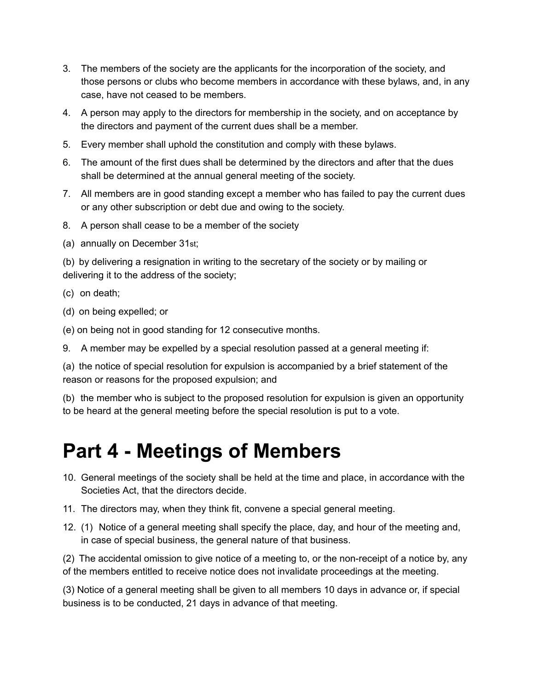- 3. The members of the society are the applicants for the incorporation of the society, and those persons or clubs who become members in accordance with these bylaws, and, in any case, have not ceased to be members.
- 4. A person may apply to the directors for membership in the society, and on acceptance by the directors and payment of the current dues shall be a member.
- 5. Every member shall uphold the constitution and comply with these bylaws.
- 6. The amount of the first dues shall be determined by the directors and after that the dues shall be determined at the annual general meeting of the society.
- 7. All members are in good standing except a member who has failed to pay the current dues or any other subscription or debt due and owing to the society.
- 8. A person shall cease to be a member of the society
- (a) annually on December 31st;

(b) by delivering a resignation in writing to the secretary of the society or by mailing or delivering it to the address of the society;

- (c) on death;
- (d) on being expelled; or
- (e) on being not in good standing for 12 consecutive months.
- 9. A member may be expelled by a special resolution passed at a general meeting if:

(a) the notice of special resolution for expulsion is accompanied by a brief statement of the reason or reasons for the proposed expulsion; and

(b) the member who is subject to the proposed resolution for expulsion is given an opportunity to be heard at the general meeting before the special resolution is put to a vote.

#### **Part 4 - Meetings of Members**

- 10. General meetings of the society shall be held at the time and place, in accordance with the Societies Act, that the directors decide.
- 11. The directors may, when they think fit, convene a special general meeting.
- 12. (1) Notice of a general meeting shall specify the place, day, and hour of the meeting and, in case of special business, the general nature of that business.

(2) The accidental omission to give notice of a meeting to, or the non-receipt of a notice by, any of the members entitled to receive notice does not invalidate proceedings at the meeting.

(3) Notice of a general meeting shall be given to all members 10 days in advance or, if special business is to be conducted, 21 days in advance of that meeting.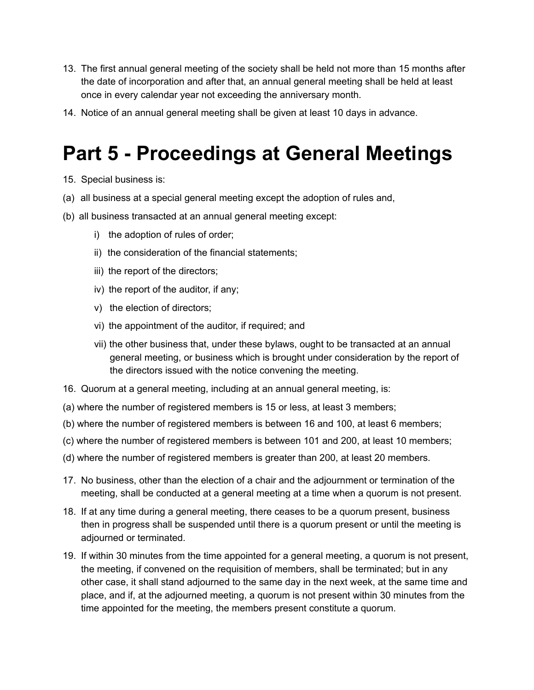- 13. The first annual general meeting of the society shall be held not more than 15 months after the date of incorporation and after that, an annual general meeting shall be held at least once in every calendar year not exceeding the anniversary month.
- 14. Notice of an annual general meeting shall be given at least 10 days in advance.

## **Part 5 - Proceedings at General Meetings**

- 15. Special business is:
- (a) all business at a special general meeting except the adoption of rules and,
- (b) all business transacted at an annual general meeting except:
	- i) the adoption of rules of order;
	- ii) the consideration of the financial statements;
	- iii) the report of the directors;
	- iv) the report of the auditor, if any;
	- v) the election of directors;
	- vi) the appointment of the auditor, if required; and
	- vii) the other business that, under these bylaws, ought to be transacted at an annual general meeting, or business which is brought under consideration by the report of the directors issued with the notice convening the meeting.
- 16. Quorum at a general meeting, including at an annual general meeting, is:
- (a) where the number of registered members is 15 or less, at least 3 members;
- (b) where the number of registered members is between 16 and 100, at least 6 members;
- (c) where the number of registered members is between 101 and 200, at least 10 members;
- (d) where the number of registered members is greater than 200, at least 20 members.
- 17. No business, other than the election of a chair and the adjournment or termination of the meeting, shall be conducted at a general meeting at a time when a quorum is not present.
- 18. If at any time during a general meeting, there ceases to be a quorum present, business then in progress shall be suspended until there is a quorum present or until the meeting is adjourned or terminated.
- 19. If within 30 minutes from the time appointed for a general meeting, a quorum is not present, the meeting, if convened on the requisition of members, shall be terminated; but in any other case, it shall stand adjourned to the same day in the next week, at the same time and place, and if, at the adjourned meeting, a quorum is not present within 30 minutes from the time appointed for the meeting, the members present constitute a quorum.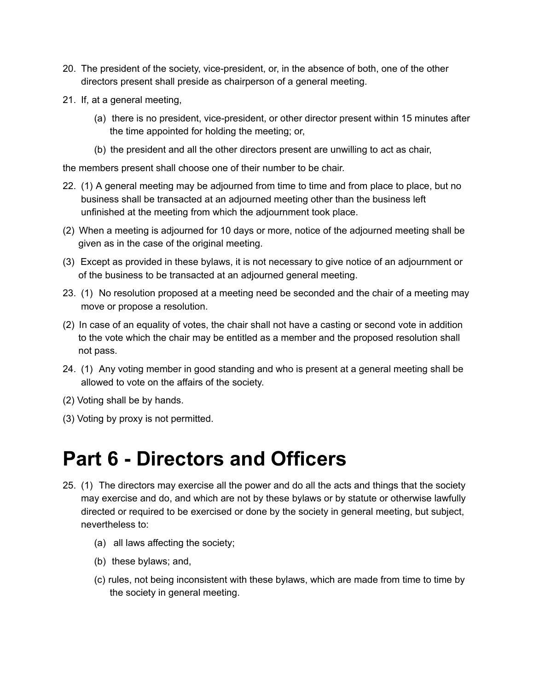- 20. The president of the society, vice-president, or, in the absence of both, one of the other directors present shall preside as chairperson of a general meeting.
- 21. If, at a general meeting,
	- (a) there is no president, vice-president, or other director present within 15 minutes after the time appointed for holding the meeting; or,
	- (b) the president and all the other directors present are unwilling to act as chair,

the members present shall choose one of their number to be chair.

- 22. (1) A general meeting may be adjourned from time to time and from place to place, but no business shall be transacted at an adjourned meeting other than the business left unfinished at the meeting from which the adjournment took place.
- (2) When a meeting is adjourned for 10 days or more, notice of the adjourned meeting shall be given as in the case of the original meeting.
- (3) Except as provided in these bylaws, it is not necessary to give notice of an adjournment or of the business to be transacted at an adjourned general meeting.
- 23. (1) No resolution proposed at a meeting need be seconded and the chair of a meeting may move or propose a resolution.
- (2) In case of an equality of votes, the chair shall not have a casting or second vote in addition to the vote which the chair may be entitled as a member and the proposed resolution shall not pass.
- 24. (1) Any voting member in good standing and who is present at a general meeting shall be allowed to vote on the affairs of the society.
- (2) Voting shall be by hands.
- (3) Voting by proxy is not permitted.

#### **Part 6 - Directors and Officers**

- 25. (1) The directors may exercise all the power and do all the acts and things that the society may exercise and do, and which are not by these bylaws or by statute or otherwise lawfully directed or required to be exercised or done by the society in general meeting, but subject, nevertheless to:
	- (a) all laws affecting the society;
	- (b) these bylaws; and,
	- (c) rules, not being inconsistent with these bylaws, which are made from time to time by the society in general meeting.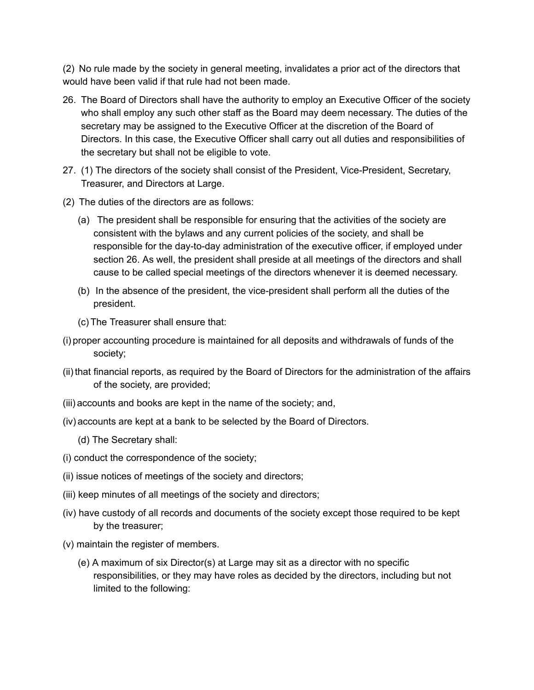(2) No rule made by the society in general meeting, invalidates a prior act of the directors that would have been valid if that rule had not been made.

- 26. The Board of Directors shall have the authority to employ an Executive Officer of the society who shall employ any such other staff as the Board may deem necessary. The duties of the secretary may be assigned to the Executive Officer at the discretion of the Board of Directors. In this case, the Executive Officer shall carry out all duties and responsibilities of the secretary but shall not be eligible to vote.
- 27. (1) The directors of the society shall consist of the President, Vice-President, Secretary, Treasurer, and Directors at Large.
- (2) The duties of the directors are as follows:
	- (a) The president shall be responsible for ensuring that the activities of the society are consistent with the bylaws and any current policies of the society, and shall be responsible for the day-to-day administration of the executive officer, if employed under section 26. As well, the president shall preside at all meetings of the directors and shall cause to be called special meetings of the directors whenever it is deemed necessary.
	- (b) In the absence of the president, the vice-president shall perform all the duties of the president.
	- (c) The Treasurer shall ensure that:
- (i) proper accounting procedure is maintained for all deposits and withdrawals of funds of the society;
- (ii) that financial reports, as required by the Board of Directors for the administration of the affairs of the society, are provided;
- (iii) accounts and books are kept in the name of the society; and,
- (iv) accounts are kept at a bank to be selected by the Board of Directors.
	- (d) The Secretary shall:
- (i) conduct the correspondence of the society;
- (ii) issue notices of meetings of the society and directors;
- (iii) keep minutes of all meetings of the society and directors;
- (iv) have custody of all records and documents of the society except those required to be kept by the treasurer;
- (v) maintain the register of members.
	- (e) A maximum of six Director(s) at Large may sit as a director with no specific responsibilities, or they may have roles as decided by the directors, including but not limited to the following: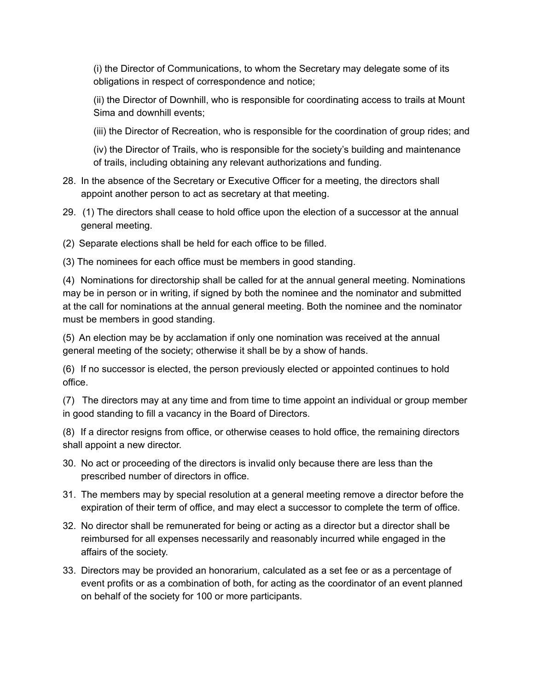(i) the Director of Communications, to whom the Secretary may delegate some of its obligations in respect of correspondence and notice;

(ii) the Director of Downhill, who is responsible for coordinating access to trails at Mount Sima and downhill events;

(iii) the Director of Recreation, who is responsible for the coordination of group rides; and

(iv) the Director of Trails, who is responsible for the society's building and maintenance of trails, including obtaining any relevant authorizations and funding.

- 28. In the absence of the Secretary or Executive Officer for a meeting, the directors shall appoint another person to act as secretary at that meeting.
- 29. (1) The directors shall cease to hold office upon the election of a successor at the annual general meeting.
- (2) Separate elections shall be held for each office to be filled.

(3) The nominees for each office must be members in good standing.

(4) Nominations for directorship shall be called for at the annual general meeting. Nominations may be in person or in writing, if signed by both the nominee and the nominator and submitted at the call for nominations at the annual general meeting. Both the nominee and the nominator must be members in good standing.

(5) An election may be by acclamation if only one nomination was received at the annual general meeting of the society; otherwise it shall be by a show of hands.

(6) If no successor is elected, the person previously elected or appointed continues to hold office.

(7) The directors may at any time and from time to time appoint an individual or group member in good standing to fill a vacancy in the Board of Directors.

(8) If a director resigns from office, or otherwise ceases to hold office, the remaining directors shall appoint a new director.

- 30. No act or proceeding of the directors is invalid only because there are less than the prescribed number of directors in office.
- 31. The members may by special resolution at a general meeting remove a director before the expiration of their term of office, and may elect a successor to complete the term of office.
- 32. No director shall be remunerated for being or acting as a director but a director shall be reimbursed for all expenses necessarily and reasonably incurred while engaged in the affairs of the society.
- 33. Directors may be provided an honorarium, calculated as a set fee or as a percentage of event profits or as a combination of both, for acting as the coordinator of an event planned on behalf of the society for 100 or more participants.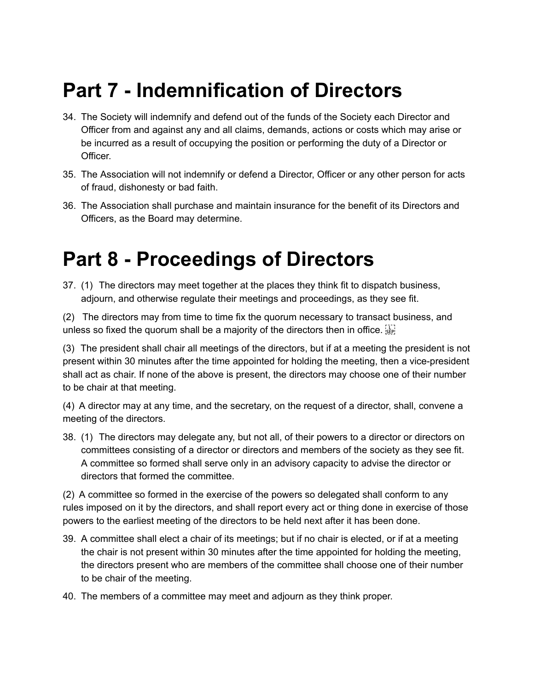## **Part 7 - Indemnification of Directors**

- 34. The Society will indemnify and defend out of the funds of the Society each Director and Officer from and against any and all claims, demands, actions or costs which may arise or be incurred as a result of occupying the position or performing the duty of a Director or Officer.
- 35. The Association will not indemnify or defend a Director, Officer or any other person for acts of fraud, dishonesty or bad faith.
- 36. The Association shall purchase and maintain insurance for the benefit of its Directors and Officers, as the Board may determine.

### **Part 8 - Proceedings of Directors**

37. (1) The directors may meet together at the places they think fit to dispatch business, adjourn, and otherwise regulate their meetings and proceedings, as they see fit.

(2) The directors may from time to time fix the quorum necessary to transact business, and unless so fixed the quorum shall be a majority of the directors then in office.  $\frac{1}{25}$ 

(3) The president shall chair all meetings of the directors, but if at a meeting the president is not present within 30 minutes after the time appointed for holding the meeting, then a vice-president shall act as chair. If none of the above is present, the directors may choose one of their number to be chair at that meeting.

(4) A director may at any time, and the secretary, on the request of a director, shall, convene a meeting of the directors.

38. (1) The directors may delegate any, but not all, of their powers to a director or directors on committees consisting of a director or directors and members of the society as they see fit. A committee so formed shall serve only in an advisory capacity to advise the director or directors that formed the committee.

(2) A committee so formed in the exercise of the powers so delegated shall conform to any rules imposed on it by the directors, and shall report every act or thing done in exercise of those powers to the earliest meeting of the directors to be held next after it has been done.

- 39. A committee shall elect a chair of its meetings; but if no chair is elected, or if at a meeting the chair is not present within 30 minutes after the time appointed for holding the meeting, the directors present who are members of the committee shall choose one of their number to be chair of the meeting.
- 40. The members of a committee may meet and adjourn as they think proper.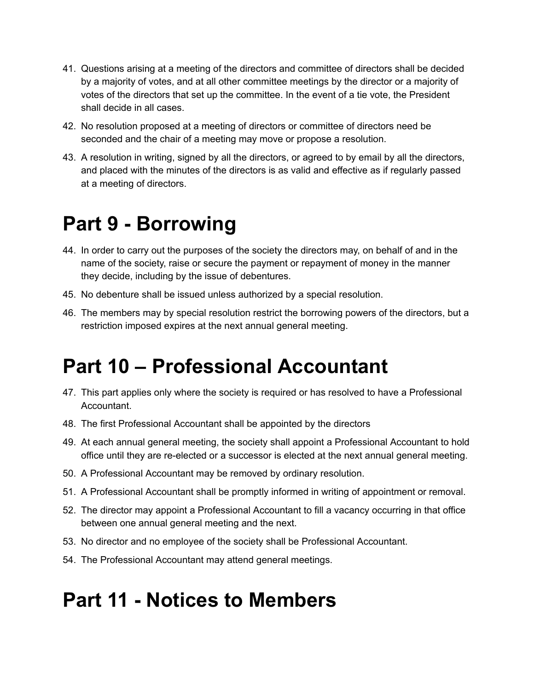- 41. Questions arising at a meeting of the directors and committee of directors shall be decided by a majority of votes, and at all other committee meetings by the director or a majority of votes of the directors that set up the committee. In the event of a tie vote, the President shall decide in all cases.
- 42. No resolution proposed at a meeting of directors or committee of directors need be seconded and the chair of a meeting may move or propose a resolution.
- 43. A resolution in writing, signed by all the directors, or agreed to by email by all the directors, and placed with the minutes of the directors is as valid and effective as if regularly passed at a meeting of directors.

### **Part 9 - Borrowing**

- 44. In order to carry out the purposes of the society the directors may, on behalf of and in the name of the society, raise or secure the payment or repayment of money in the manner they decide, including by the issue of debentures.
- 45. No debenture shall be issued unless authorized by a special resolution.
- 46. The members may by special resolution restrict the borrowing powers of the directors, but a restriction imposed expires at the next annual general meeting.

## **Part 10 – Professional Accountant**

- 47. This part applies only where the society is required or has resolved to have a Professional Accountant.
- 48. The first Professional Accountant shall be appointed by the directors
- 49. At each annual general meeting, the society shall appoint a Professional Accountant to hold office until they are re-elected or a successor is elected at the next annual general meeting.
- 50. A Professional Accountant may be removed by ordinary resolution.
- 51. A Professional Accountant shall be promptly informed in writing of appointment or removal.
- 52. The director may appoint a Professional Accountant to fill a vacancy occurring in that office between one annual general meeting and the next.
- 53. No director and no employee of the society shall be Professional Accountant.
- 54. The Professional Accountant may attend general meetings.

#### **Part 11 - Notices to Members**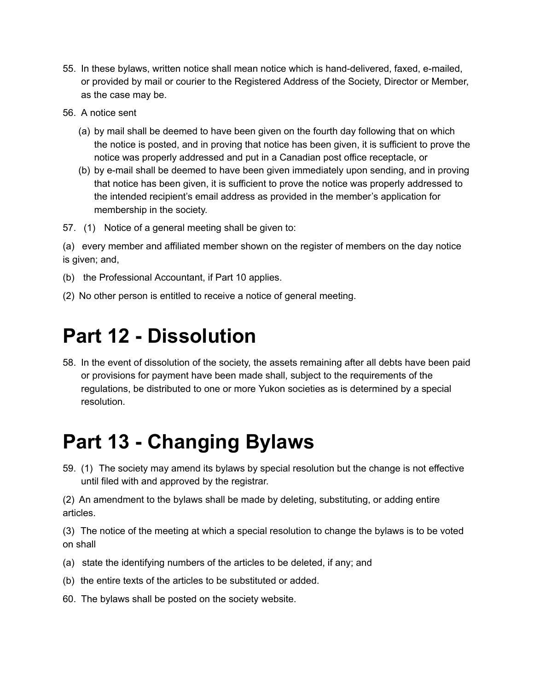- 55. In these bylaws, written notice shall mean notice which is hand-delivered, faxed, e-mailed, or provided by mail or courier to the Registered Address of the Society, Director or Member, as the case may be.
- 56. A notice sent
	- (a) by mail shall be deemed to have been given on the fourth day following that on which the notice is posted, and in proving that notice has been given, it is sufficient to prove the notice was properly addressed and put in a Canadian post office receptacle, or
	- (b) by e-mail shall be deemed to have been given immediately upon sending, and in proving that notice has been given, it is sufficient to prove the notice was properly addressed to the intended recipient's email address as provided in the member's application for membership in the society.
- 57. (1) Notice of a general meeting shall be given to:

(a) every member and affiliated member shown on the register of members on the day notice is given; and,

- (b) the Professional Accountant, if Part 10 applies.
- (2) No other person is entitled to receive a notice of general meeting.

#### **Part 12 - Dissolution**

58. In the event of dissolution of the society, the assets remaining after all debts have been paid or provisions for payment have been made shall, subject to the requirements of the regulations, be distributed to one or more Yukon societies as is determined by a special resolution.

### **Part 13 - Changing Bylaws**

59. (1) The society may amend its bylaws by special resolution but the change is not effective until filed with and approved by the registrar.

(2) An amendment to the bylaws shall be made by deleting, substituting, or adding entire articles.

(3) The notice of the meeting at which a special resolution to change the bylaws is to be voted on shall

- (a) state the identifying numbers of the articles to be deleted, if any; and
- (b) the entire texts of the articles to be substituted or added.
- 60. The bylaws shall be posted on the society website.